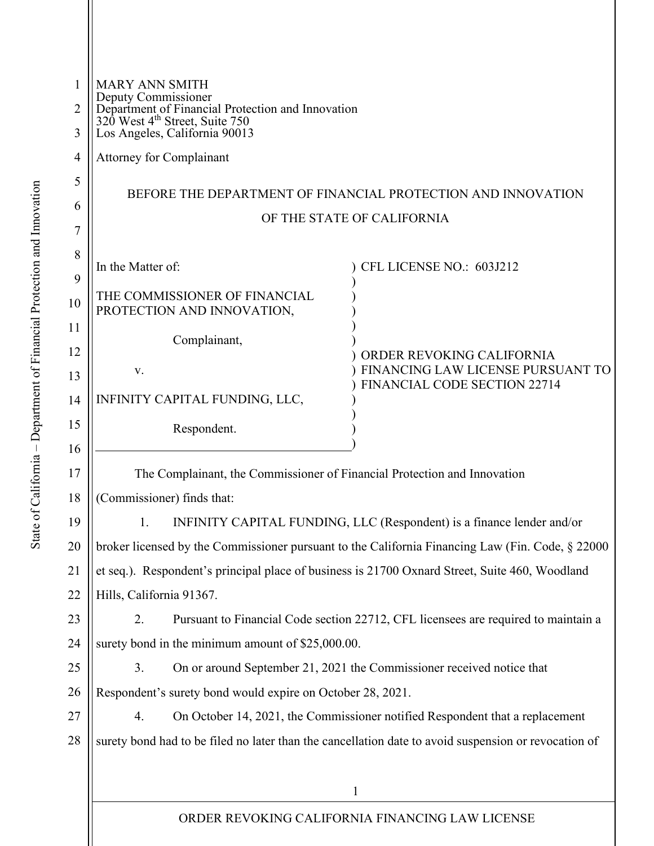| 1<br>2<br>3 | <b>MARY ANN SMITH</b><br>Deputy Commissioner<br>Department of Financial Protection and Innovation<br>320 West 4 <sup>th</sup> Street, Suite 750<br>Los Angeles, California 90013 |
|-------------|----------------------------------------------------------------------------------------------------------------------------------------------------------------------------------|
| 4           | <b>Attorney for Complainant</b>                                                                                                                                                  |
| 5           |                                                                                                                                                                                  |
| 6           | BEFORE THE DEPARTMENT OF FINANCIAL PROTECTION AND INNOVATION                                                                                                                     |
| 7           | OF THE STATE OF CALIFORNIA                                                                                                                                                       |
| 8           |                                                                                                                                                                                  |
| 9           | In the Matter of:<br>CFL LICENSE NO.: 603J212                                                                                                                                    |
| 10          | THE COMMISSIONER OF FINANCIAL<br>PROTECTION AND INNOVATION,                                                                                                                      |
| 11          | Complainant,                                                                                                                                                                     |
| 12          | ORDER REVOKING CALIFORNIA<br>FINANCING LAW LICENSE PURSUANT TO<br>V.                                                                                                             |
| 13          | <b>FINANCIAL CODE SECTION 22714</b>                                                                                                                                              |
| 14          | INFINITY CAPITAL FUNDING, LLC,                                                                                                                                                   |
| 15          | Respondent.                                                                                                                                                                      |
| 16          |                                                                                                                                                                                  |
| 17          | The Complainant, the Commissioner of Financial Protection and Innovation                                                                                                         |
| 18          | (Commissioner) finds that:                                                                                                                                                       |
| 19          | INFINITY CAPITAL FUNDING, LLC (Respondent) is a finance lender and/or<br>$\mathbf{1}$ .                                                                                          |
| 20          | broker licensed by the Commissioner pursuant to the California Financing Law (Fin. Code, § 22000)                                                                                |
| 21          | et seq.). Respondent's principal place of business is 21700 Oxnard Street, Suite 460, Woodland                                                                                   |
| 22          | Hills, California 91367.                                                                                                                                                         |
| 23          | 2.<br>Pursuant to Financial Code section 22712, CFL licensees are required to maintain a                                                                                         |
| 24          | surety bond in the minimum amount of \$25,000.00.                                                                                                                                |
| 25          | On or around September 21, 2021 the Commissioner received notice that<br>3.                                                                                                      |
| 26          | Respondent's surety bond would expire on October 28, 2021.                                                                                                                       |
| 27          | On October 14, 2021, the Commissioner notified Respondent that a replacement<br>4.                                                                                               |
| 28          | surety bond had to be filed no later than the cancellation date to avoid suspension or revocation of                                                                             |
|             |                                                                                                                                                                                  |
|             | 1                                                                                                                                                                                |

ORDER REVOKING CALIFORNIA FINANCING LAW LICENSE